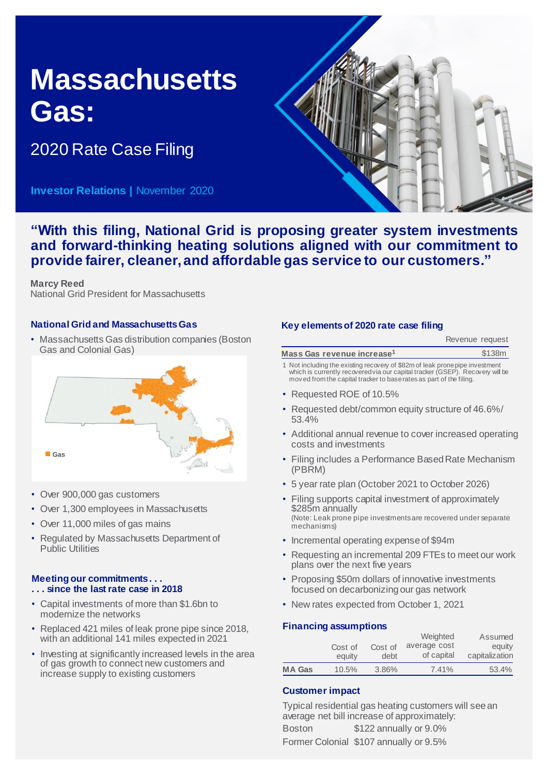## **Massachusetts Gas:**

2020 Rate Case Filing

**Investor Relations |** November 2020



**"With this filing, National Grid is proposing greater system investments and forward-thinking heating solutions aligned with our commitment to provide fairer, cleaner, and affordable gas service to our customers."**

**Marcy Reed** National Grid President for Massachusetts

#### **National Grid and Massachusetts Gas**

• Massachusetts Gas distribution companies (Boston Gas and Colonial Gas)



- Over 900,000 gas customers
- Over 1,300 employees in Massachusetts
- Over 11,000 miles of gas mains
- Regulated by Massachusetts Department of Public Utilities

### **Meeting our commitments . . .**

- **. . . since the last rate case in 2018**
- Capital investments of more than \$1.6bn to modernize the networks
- Replaced 421 miles of leak prone pipe since 2018, with an additional 141 miles expected in 2021
- Investing at significantly increased levels in the area of gas growth to connect new customers and increase supply to existing customers

#### **Key elements of 2020 rate case filing**

|                                                                             | Revenue request |
|-----------------------------------------------------------------------------|-----------------|
| Mass Gas revenue increase <sup>1</sup>                                      | \$138m          |
| 1 Not including the existing recovery of \$82m of leak propenine investment |                 |

- 1 Not including the existing recovery of \$82m of leak prone pipe investment which is currently recovered via our capital tracker (GSEP). Recovery will be mov ed from the capital tracker to base rates as part of the filing.
- Requested ROE of 10.5%
- Requested debt/common equity structure of 46.6%/ 53.4%
- Additional annual revenue to cover increased operating costs and investments
- Filing includes a Performance Based Rate Mechanism (PBRM)
- 5 year rate plan (October 2021 to October 2026)
- Filing supports capital investment of approximately \$285m annually (Note: Leak prone pipe investments are recovered under separate mechanisms)
- Incremental operating expense of \$94m
- Requesting an incremental 209 FTEs to meet our work plans over the next five years
- Proposing \$50m dollars of innovative investments focused on decarbonizing our gas network
- New rates expected from October 1, 2021

#### **Financing assumptions**

|               |         |         | Weighted     | Assumed        |
|---------------|---------|---------|--------------|----------------|
|               | Cost of | Cost of | average cost | equity         |
|               | equity  | debt    | of capital   | capitalization |
| <b>MA Gas</b> | 10.5%   | 3.86%   | 7.41%        | 53.4%          |

#### **Customer impact**

Typical residential gas heating customers will see an average net bill increase of approximately:

Boston \$122 annually or 9.0% Former Colonial \$107 annually or 9.5%